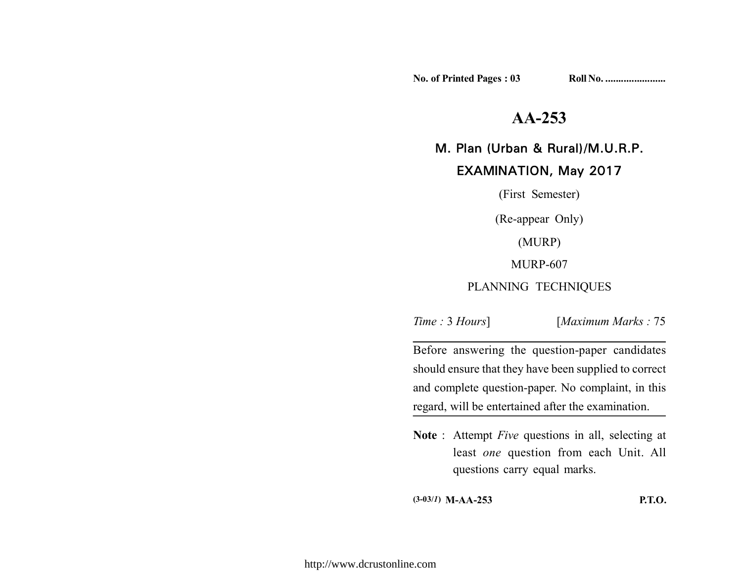No. of Printed Pages : 03 **Roll No. .....................** 

# **AA-253**

# M. Plan (Urban & Rural)/M.U.R.P.

## EXAMINATION, May 2017

(First Semester) (Re-appear Only) (MURP) MURP-607 PLANNING TECHNIQUES

*Time :* 3 *Hours*] [*Maximum Marks :* 75

Before answering the question-paper candidates should ensure that they have been supplied to correct and complete question-paper. No complaint, in this regard, will be entertained after the examination.

**Note** : Attempt *Five* questions in all, selecting at least *one* question from each Unit. All questions carry equal marks.

**(3-03/***1***) M-AA-253 P.T.O.**